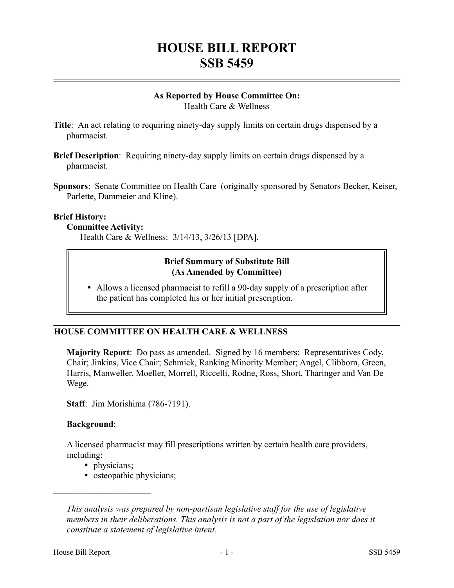# **HOUSE BILL REPORT SSB 5459**

#### **As Reported by House Committee On:** Health Care & Wellness

- **Title**: An act relating to requiring ninety-day supply limits on certain drugs dispensed by a pharmacist.
- **Brief Description**: Requiring ninety-day supply limits on certain drugs dispensed by a pharmacist.
- **Sponsors**: Senate Committee on Health Care (originally sponsored by Senators Becker, Keiser, Parlette, Dammeier and Kline).

#### **Brief History:**

#### **Committee Activity:**

Health Care & Wellness: 3/14/13, 3/26/13 [DPA].

# **Brief Summary of Substitute Bill (As Amended by Committee)**

 Allows a licensed pharmacist to refill a 90-day supply of a prescription after the patient has completed his or her initial prescription.

## **HOUSE COMMITTEE ON HEALTH CARE & WELLNESS**

**Majority Report**: Do pass as amended. Signed by 16 members: Representatives Cody, Chair; Jinkins, Vice Chair; Schmick, Ranking Minority Member; Angel, Clibborn, Green, Harris, Manweller, Moeller, Morrell, Riccelli, Rodne, Ross, Short, Tharinger and Van De Wege.

**Staff**: Jim Morishima (786-7191).

## **Background**:

A licensed pharmacist may fill prescriptions written by certain health care providers, including:

• physicians;

––––––––––––––––––––––

• osteopathic physicians;

*This analysis was prepared by non-partisan legislative staff for the use of legislative members in their deliberations. This analysis is not a part of the legislation nor does it constitute a statement of legislative intent.*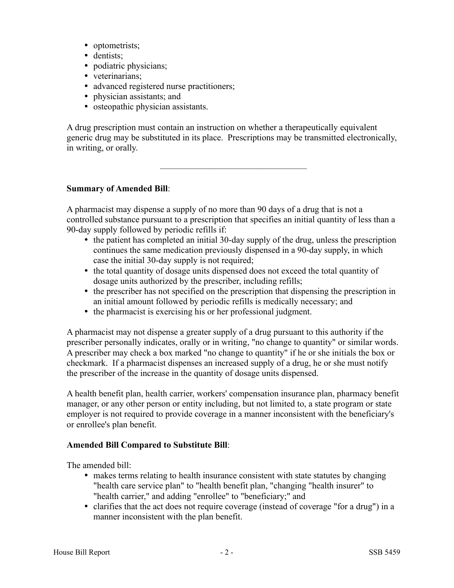- optometrists;
- dentists;
- podiatric physicians;
- veterinarians;
- advanced registered nurse practitioners;
- physician assistants; and
- osteopathic physician assistants.

A drug prescription must contain an instruction on whether a therapeutically equivalent generic drug may be substituted in its place. Prescriptions may be transmitted electronically, in writing, or orally.

–––––––––––––––––––––––––––––––––

#### **Summary of Amended Bill**:

A pharmacist may dispense a supply of no more than 90 days of a drug that is not a controlled substance pursuant to a prescription that specifies an initial quantity of less than a 90-day supply followed by periodic refills if:

- the patient has completed an initial 30-day supply of the drug, unless the prescription continues the same medication previously dispensed in a 90-day supply, in which case the initial 30-day supply is not required;
- the total quantity of dosage units dispensed does not exceed the total quantity of dosage units authorized by the prescriber, including refills;
- the prescriber has not specified on the prescription that dispensing the prescription in an initial amount followed by periodic refills is medically necessary; and
- the pharmacist is exercising his or her professional judgment.

A pharmacist may not dispense a greater supply of a drug pursuant to this authority if the prescriber personally indicates, orally or in writing, "no change to quantity" or similar words. A prescriber may check a box marked "no change to quantity" if he or she initials the box or checkmark. If a pharmacist dispenses an increased supply of a drug, he or she must notify the prescriber of the increase in the quantity of dosage units dispensed.

A health benefit plan, health carrier, workers' compensation insurance plan, pharmacy benefit manager, or any other person or entity including, but not limited to, a state program or state employer is not required to provide coverage in a manner inconsistent with the beneficiary's or enrollee's plan benefit.

#### **Amended Bill Compared to Substitute Bill**:

The amended bill:

- makes terms relating to health insurance consistent with state statutes by changing "health care service plan" to "health benefit plan, "changing "health insurer" to "health carrier," and adding "enrollee" to "beneficiary;" and
- clarifies that the act does not require coverage (instead of coverage "for a drug") in a manner inconsistent with the plan benefit.